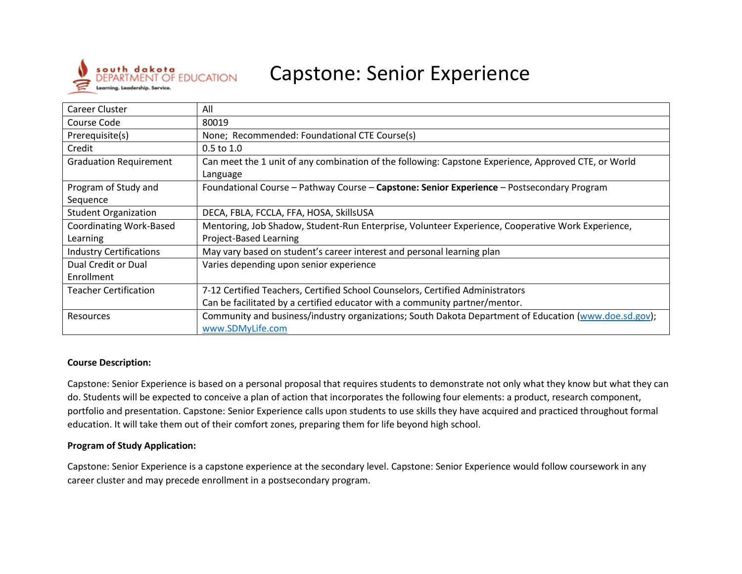

# Capstone: Senior Experience

| Career Cluster                 | All                                                                                                   |  |
|--------------------------------|-------------------------------------------------------------------------------------------------------|--|
| Course Code                    | 80019                                                                                                 |  |
| Prerequisite(s)                | None; Recommended: Foundational CTE Course(s)                                                         |  |
| Credit                         | $0.5$ to $1.0$                                                                                        |  |
| <b>Graduation Requirement</b>  | Can meet the 1 unit of any combination of the following: Capstone Experience, Approved CTE, or World  |  |
|                                | Language                                                                                              |  |
| Program of Study and           | Foundational Course - Pathway Course - Capstone: Senior Experience - Postsecondary Program            |  |
| Sequence                       |                                                                                                       |  |
| <b>Student Organization</b>    | DECA, FBLA, FCCLA, FFA, HOSA, SkillsUSA                                                               |  |
| Coordinating Work-Based        | Mentoring, Job Shadow, Student-Run Enterprise, Volunteer Experience, Cooperative Work Experience,     |  |
| Learning                       | Project-Based Learning                                                                                |  |
| <b>Industry Certifications</b> | May vary based on student's career interest and personal learning plan                                |  |
| Dual Credit or Dual            | Varies depending upon senior experience                                                               |  |
| Enrollment                     |                                                                                                       |  |
| <b>Teacher Certification</b>   | 7-12 Certified Teachers, Certified School Counselors, Certified Administrators                        |  |
|                                | Can be facilitated by a certified educator with a community partner/mentor.                           |  |
| Resources                      | Community and business/industry organizations; South Dakota Department of Education (www.doe.sd.gov); |  |
|                                | www.SDMyLife.com                                                                                      |  |

#### **Course Description:**

Capstone: Senior Experience is based on a personal proposal that requires students to demonstrate not only what they know but what they can do. Students will be expected to conceive a plan of action that incorporates the following four elements: a product, research component, portfolio and presentation. Capstone: Senior Experience calls upon students to use skills they have acquired and practiced throughout formal education. It will take them out of their comfort zones, preparing them for life beyond high school.

#### **Program of Study Application:**

Capstone: Senior Experience is a capstone experience at the secondary level. Capstone: Senior Experience would follow coursework in any career cluster and may precede enrollment in a postsecondary program.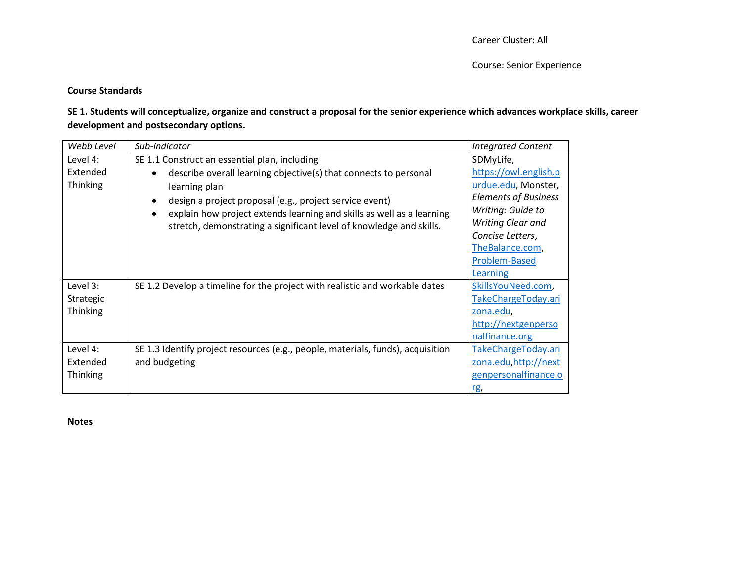## **Course Standards**

# **SE 1. Students will conceptualize, organize and construct a proposal for the senior experience which advances workplace skills, career development and postsecondary options.**

| Webb Level | Sub-indicator                                                                   | <b>Integrated Content</b>   |
|------------|---------------------------------------------------------------------------------|-----------------------------|
| Level 4:   | SE 1.1 Construct an essential plan, including                                   | SDMyLife,                   |
| Extended   | describe overall learning objective(s) that connects to personal<br>$\bullet$   | https://owl.english.p       |
| Thinking   | learning plan                                                                   | urdue.edu, Monster,         |
|            | design a project proposal (e.g., project service event)<br>$\bullet$            | <b>Elements of Business</b> |
|            | explain how project extends learning and skills as well as a learning           | Writing: Guide to           |
|            | stretch, demonstrating a significant level of knowledge and skills.             | Writing Clear and           |
|            |                                                                                 | Concise Letters,            |
|            |                                                                                 | TheBalance.com,             |
|            |                                                                                 | Problem-Based               |
|            |                                                                                 | Learning                    |
| Level 3:   | SE 1.2 Develop a timeline for the project with realistic and workable dates     | SkillsYouNeed.com,          |
| Strategic  |                                                                                 | TakeChargeToday.ari         |
| Thinking   |                                                                                 | zona.edu,                   |
|            |                                                                                 | http://nextgenperso         |
|            |                                                                                 | nalfinance.org              |
| Level 4:   | SE 1.3 Identify project resources (e.g., people, materials, funds), acquisition | TakeChargeToday.ari         |
| Extended   | and budgeting                                                                   | zona.edu.http://next        |
| Thinking   |                                                                                 | genpersonalfinance.o        |
|            |                                                                                 | rg,                         |

**Notes**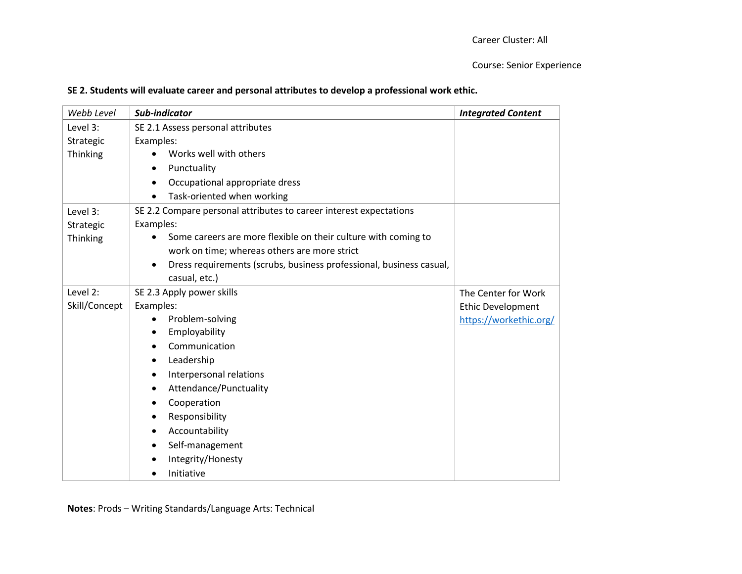|  |  | SE 2. Students will evaluate career and personal attributes to develop a professional work ethic. |
|--|--|---------------------------------------------------------------------------------------------------|
|--|--|---------------------------------------------------------------------------------------------------|

| Webb Level    | Sub-indicator                                                       | <b>Integrated Content</b> |
|---------------|---------------------------------------------------------------------|---------------------------|
| Level 3:      | SE 2.1 Assess personal attributes                                   |                           |
| Strategic     | Examples:                                                           |                           |
| Thinking      | Works well with others                                              |                           |
|               | Punctuality<br>$\bullet$                                            |                           |
|               | Occupational appropriate dress<br>$\bullet$                         |                           |
|               | Task-oriented when working<br>$\bullet$                             |                           |
| Level 3:      | SE 2.2 Compare personal attributes to career interest expectations  |                           |
| Strategic     | Examples:                                                           |                           |
| Thinking      | Some careers are more flexible on their culture with coming to      |                           |
|               | work on time; whereas others are more strict                        |                           |
|               | Dress requirements (scrubs, business professional, business casual, |                           |
|               | casual, etc.)                                                       |                           |
| Level 2:      | SE 2.3 Apply power skills                                           | The Center for Work       |
| Skill/Concept | Examples:                                                           | <b>Ethic Development</b>  |
|               | Problem-solving                                                     | https://workethic.org/    |
|               | Employability                                                       |                           |
|               | Communication                                                       |                           |
|               | Leadership                                                          |                           |
|               | Interpersonal relations<br>$\bullet$                                |                           |
|               | Attendance/Punctuality                                              |                           |
|               | Cooperation                                                         |                           |
|               | Responsibility                                                      |                           |
|               | Accountability                                                      |                           |
|               | Self-management                                                     |                           |
|               | Integrity/Honesty                                                   |                           |
|               | Initiative                                                          |                           |

**Notes**: Prods – Writing Standards/Language Arts: Technical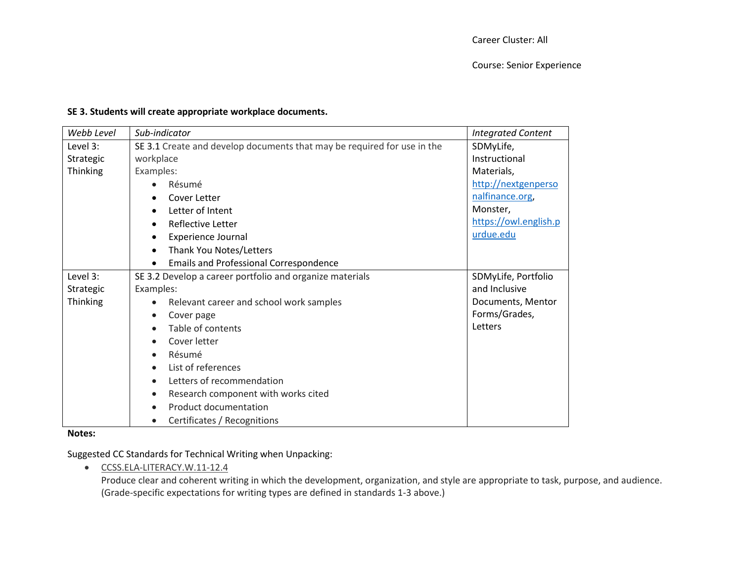# **SE 3. Students will create appropriate workplace documents.**

| Webb Level      | Sub-indicator                                                           | <b>Integrated Content</b> |
|-----------------|-------------------------------------------------------------------------|---------------------------|
| Level 3:        | SE 3.1 Create and develop documents that may be required for use in the | SDMyLife,                 |
| Strategic       | workplace                                                               | Instructional             |
| Thinking        | Examples:                                                               | Materials,                |
|                 | Résumé<br>$\bullet$                                                     | http://nextgenperso       |
|                 | Cover Letter                                                            | nalfinance.org,           |
|                 | Letter of Intent<br>$\bullet$                                           | Monster,                  |
|                 | Reflective Letter<br>$\bullet$                                          | https://owl.english.p     |
|                 | <b>Experience Journal</b>                                               | urdue.edu                 |
|                 | Thank You Notes/Letters<br>$\bullet$                                    |                           |
|                 | <b>Emails and Professional Correspondence</b><br>$\bullet$              |                           |
| Level 3:        | SE 3.2 Develop a career portfolio and organize materials                | SDMyLife, Portfolio       |
| Strategic       | Examples:                                                               | and Inclusive             |
| <b>Thinking</b> | Relevant career and school work samples                                 | Documents, Mentor         |
|                 | Cover page<br>$\bullet$                                                 | Forms/Grades,             |
|                 | Table of contents<br>$\bullet$                                          | Letters                   |
|                 | Cover letter<br>$\bullet$                                               |                           |
|                 | Résumé<br>$\bullet$                                                     |                           |
|                 | List of references<br>$\bullet$                                         |                           |
|                 | Letters of recommendation<br>$\bullet$                                  |                           |
|                 | Research component with works cited<br>$\bullet$                        |                           |
|                 | Product documentation<br>$\bullet$                                      |                           |
|                 | Certificates / Recognitions<br>$\bullet$                                |                           |

#### **Notes:**

Suggested CC Standards for Technical Writing when Unpacking:

[CCSS.ELA-LITERACY.W.11-12.4](http://www.corestandards.org/ELA-Literacy/W/11-12/4/)

Produce clear and coherent writing in which the development, organization, and style are appropriate to task, purpose, and audience. (Grade-specific expectations for writing types are defined in standards 1-3 above.)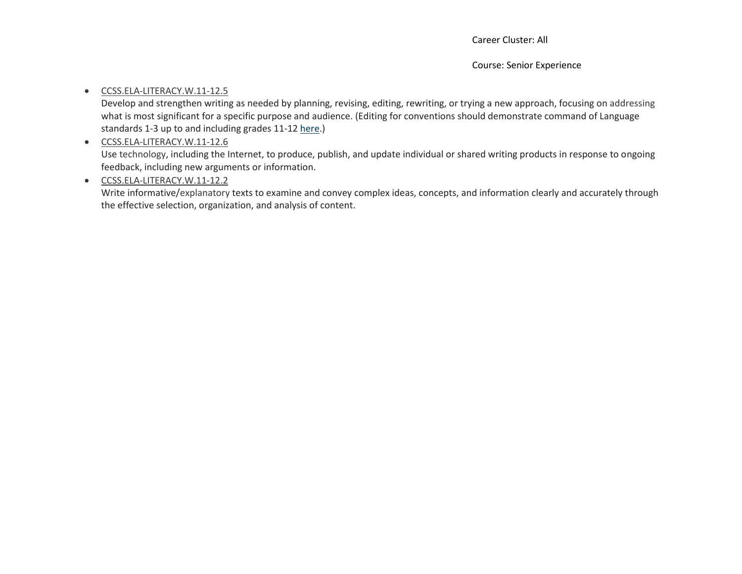#### [CCSS.ELA-LITERACY.W.11-12.5](http://www.corestandards.org/ELA-Literacy/W/11-12/5/)

Develop and strengthen writing as needed by planning, revising, editing, rewriting, or trying a new approach, focusing on addressing what is most significant for a specific purpose and audience. (Editing for conventions should demonstrate command of Language standards 1-3 up to and including grades 11-12 [here.](http://www.corestandards.org/ELA-Literacy/L/11-12/))

### [CCSS.ELA-LITERACY.W.11-12.6](http://www.corestandards.org/ELA-Literacy/W/11-12/6/)

Use technology, including the Internet, to produce, publish, and update individual or shared writing products in response to ongoing feedback, including new arguments or information.

# [CCSS.ELA-LITERACY.W.11-12.2](http://www.corestandards.org/ELA-Literacy/W/11-12/2/)

Write informative/explanatory texts to examine and convey complex ideas, concepts, and information clearly and accurately through the effective selection, organization, and analysis of content.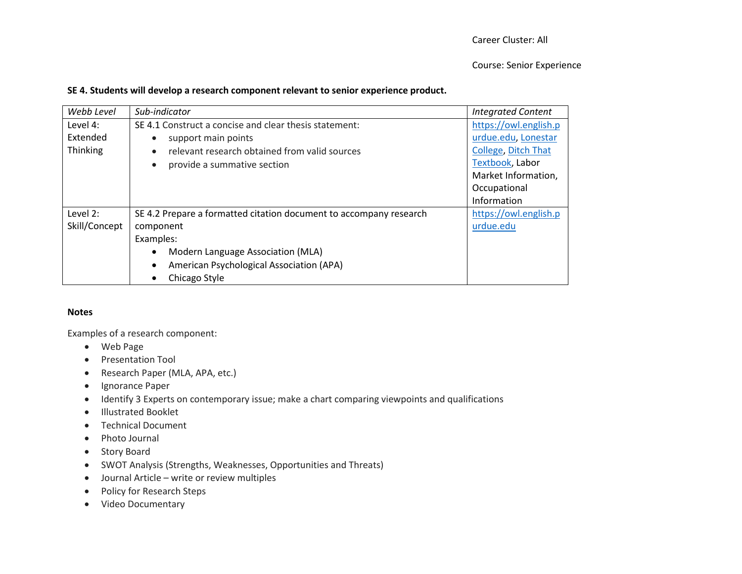#### **SE 4. Students will develop a research component relevant to senior experience product.**

| Webb Level    | Sub-indicator                                                      | <b>Integrated Content</b> |
|---------------|--------------------------------------------------------------------|---------------------------|
| Level 4:      | SE 4.1 Construct a concise and clear thesis statement:             | https://owl.english.p     |
| Extended      | support main points                                                | urdue.edu, Lonestar       |
| Thinking      | relevant research obtained from valid sources<br>$\bullet$         | College, Ditch That       |
|               | provide a summative section                                        | Textbook, Labor           |
|               |                                                                    | Market Information,       |
|               |                                                                    | Occupational              |
|               |                                                                    | Information               |
| Level 2:      | SE 4.2 Prepare a formatted citation document to accompany research | https://owl.english.p     |
| Skill/Concept | component                                                          | urdue.edu                 |
|               | Examples:                                                          |                           |
|               | Modern Language Association (MLA)                                  |                           |
|               | American Psychological Association (APA)<br>$\bullet$              |                           |
|               | Chicago Style                                                      |                           |

#### **Notes**

Examples of a research component:

- Web Page
- Presentation Tool
- Research Paper (MLA, APA, etc.)
- Ignorance Paper
- Identify 3 Experts on contemporary issue; make a chart comparing viewpoints and qualifications
- Illustrated Booklet
- Technical Document
- Photo Journal
- Story Board
- SWOT Analysis (Strengths, Weaknesses, Opportunities and Threats)
- Journal Article write or review multiples
- Policy for Research Steps
- Video Documentary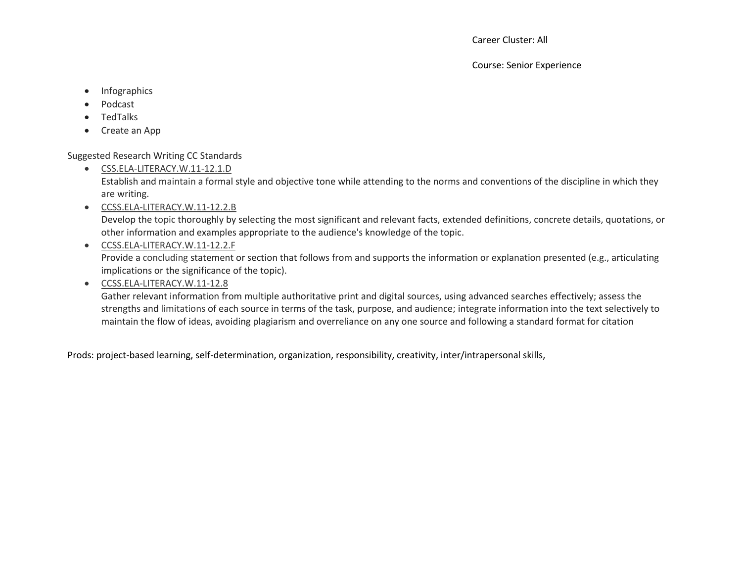Career Cluster: All

Course: Senior Experience

- Infographics
- Podcast
- TedTalks
- Create an App

Suggested Research Writing CC Standards

[CSS.ELA-LITERACY.W.11-12.1.D](http://www.corestandards.org/ELA-Literacy/W/11-12/1/d/)

Establish and maintain a formal style and objective tone while attending to the norms and conventions of the discipline in which they are writing.

[CCSS.ELA-LITERACY.W.11-12.2.B](http://www.corestandards.org/ELA-Literacy/W/11-12/2/b/)

Develop the topic thoroughly by selecting the most significant and relevant facts, extended definitions, concrete details, quotations, or other information and examples appropriate to the audience's knowledge of the topic.

[CCSS.ELA-LITERACY.W.11-12.2.F](http://www.corestandards.org/ELA-Literacy/W/11-12/2/f/)

Provide a concluding statement or section that follows from and supports the information or explanation presented (e.g., articulating implications or the significance of the topic).

[CCSS.ELA-LITERACY.W.11-12.8](http://www.corestandards.org/ELA-Literacy/W/11-12/8/)

Gather relevant information from multiple authoritative print and digital sources, using advanced searches effectively; assess the strengths and limitations of each source in terms of the task, purpose, and audience; integrate information into the text selectively to maintain the flow of ideas, avoiding plagiarism and overreliance on any one source and following a standard format for citation

Prods: project-based learning, self-determination, organization, responsibility, creativity, inter/intrapersonal skills,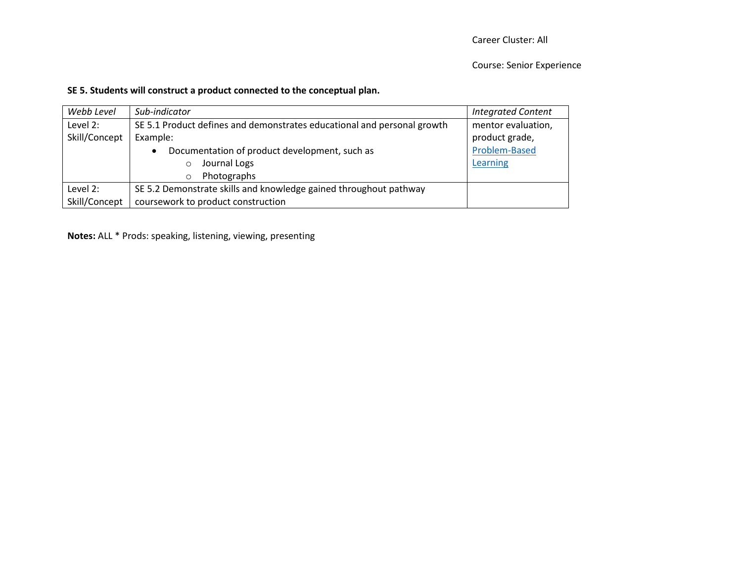# **SE 5. Students will construct a product connected to the conceptual plan.**

| Webb Level    | Sub-indicator                                                           | <b>Integrated Content</b> |
|---------------|-------------------------------------------------------------------------|---------------------------|
| Level 2:      | SE 5.1 Product defines and demonstrates educational and personal growth | mentor evaluation,        |
| Skill/Concept | Example:                                                                | product grade,            |
|               | Documentation of product development, such as<br>$\bullet$              | Problem-Based             |
|               | Journal Logs<br>$\circ$                                                 | Learning                  |
|               | Photographs<br>$\circ$                                                  |                           |
| Level 2:      | SE 5.2 Demonstrate skills and knowledge gained throughout pathway       |                           |
| Skill/Concept | coursework to product construction                                      |                           |

**Notes:** ALL \* Prods: speaking, listening, viewing, presenting